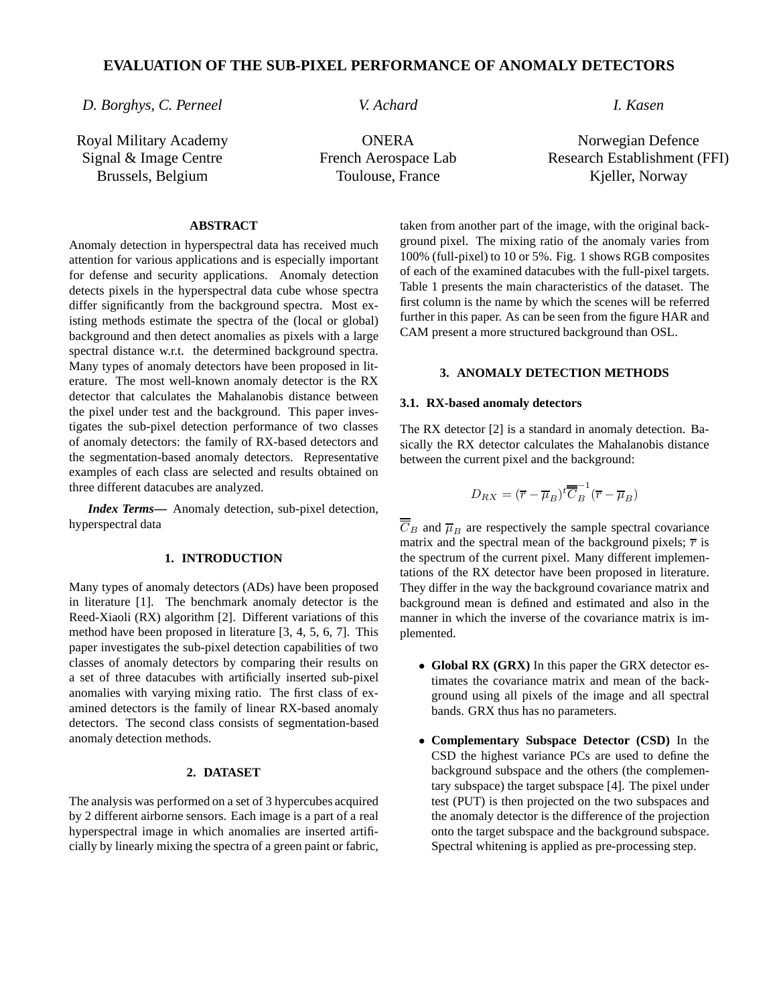# **EVALUATION OF THE SUB-PIXEL PERFORMANCE OF ANOMALY DETECTORS**

*D. Borghys, C. Perneel*

Royal Military Academy Signal & Image Centre Brussels, Belgium

*V. Achard*

**ONERA** French Aerospace Lab Toulouse, France

*I. Kasen*

Norwegian Defence Research Establishment (FFI) Kjeller, Norway

## **ABSTRACT**

Anomaly detection in hyperspectral data has received much attention for various applications and is especially important for defense and security applications. Anomaly detection detects pixels in the hyperspectral data cube whose spectra differ significantly from the background spectra. Most existing methods estimate the spectra of the (local or global) background and then detect anomalies as pixels with a large spectral distance w.r.t. the determined background spectra. Many types of anomaly detectors have been proposed in literature. The most well-known anomaly detector is the RX detector that calculates the Mahalanobis distance between the pixel under test and the background. This paper investigates the sub-pixel detection performance of two classes of anomaly detectors: the family of RX-based detectors and the segmentation-based anomaly detectors. Representative examples of each class are selected and results obtained on three different datacubes are analyzed.

*Index Terms***—** Anomaly detection, sub-pixel detection, hyperspectral data

## **1. INTRODUCTION**

Many types of anomaly detectors (ADs) have been proposed in literature [1]. The benchmark anomaly detector is the Reed-Xiaoli (RX) algorithm [2]. Different variations of this method have been proposed in literature [3, 4, 5, 6, 7]. This paper investigates the sub-pixel detection capabilities of two classes of anomaly detectors by comparing their results on a set of three datacubes with artificially inserted sub-pixel anomalies with varying mixing ratio. The first class of examined detectors is the family of linear RX-based anomaly detectors. The second class consists of segmentation-based anomaly detection methods.

#### **2. DATASET**

The analysis was performed on a set of 3 hypercubes acquired by 2 different airborne sensors. Each image is a part of a real hyperspectral image in which anomalies are inserted artificially by linearly mixing the spectra of a green paint or fabric, taken from another part of the image, with the original background pixel. The mixing ratio of the anomaly varies from 100% (full-pixel) to 10 or 5%. Fig. 1 shows RGB composites of each of the examined datacubes with the full-pixel targets. Table 1 presents the main characteristics of the dataset. The first column is the name by which the scenes will be referred further in this paper. As can be seen from the figure HAR and CAM present a more structured background than OSL.

## **3. ANOMALY DETECTION METHODS**

#### **3.1. RX-based anomaly detectors**

The RX detector [2] is a standard in anomaly detection. Basically the RX detector calculates the Mahalanobis distance between the current pixel and the background:

$$
D_{RX}=(\overline{r}-\overline{\mu}_B)^t \overline{\overline{C}}_B^{-1} (\overline{r}-\overline{\mu}_B)
$$

 $\overline{\overline{C}}_B$  and  $\overline{\mu}_B$  are respectively the sample spectral covariance matrix and the spectral mean of the background pixels;  $\overline{r}$  is the spectrum of the current pixel. Many different implementations of the RX detector have been proposed in literature. They differ in the way the background covariance matrix and background mean is defined and estimated and also in the manner in which the inverse of the covariance matrix is implemented.

- **Global RX (GRX)** In this paper the GRX detector estimates the covariance matrix and mean of the background using all pixels of the image and all spectral bands. GRX thus has no parameters.
- **Complementary Subspace Detector (CSD)** In the CSD the highest variance PCs are used to define the background subspace and the others (the complementary subspace) the target subspace [4]. The pixel under test (PUT) is then projected on the two subspaces and the anomaly detector is the difference of the projection onto the target subspace and the background subspace. Spectral whitening is applied as pre-processing step.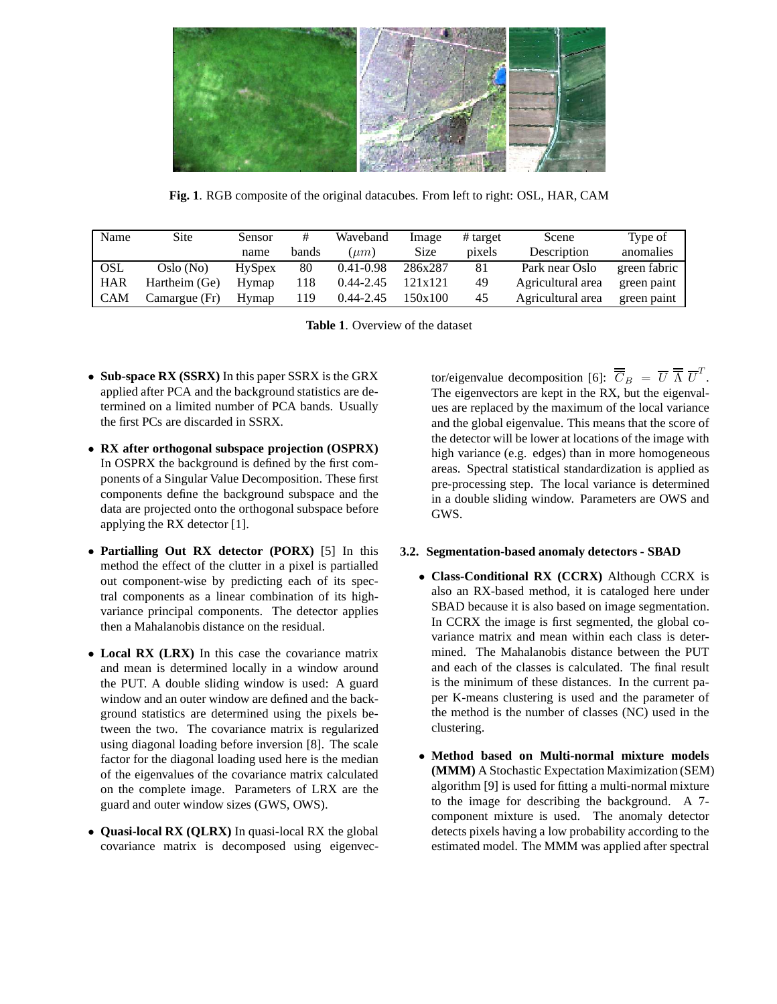

**Fig. 1**. RGB composite of the original datacubes. From left to right: OSL, HAR, CAM

| Name       | Site          | Sensor        | #     | Waveband      | Image   | $#$ target | Scene             | Type of      |
|------------|---------------|---------------|-------|---------------|---------|------------|-------------------|--------------|
|            |               | name          | bands | $(\mu m)$     | Size    | pixels     | Description       | anomalies    |
| <b>OSL</b> | Oslo(No)      | <b>HySpex</b> | 80    | 0.41-0.98     | 286x287 | 81         | Park near Oslo    | green fabric |
| <b>HAR</b> | Hartheim (Ge) | Hymap         | 118   | $0.44 - 2.45$ | 121x121 | 49         | Agricultural area | green paint  |
| <b>CAM</b> | Camargue (Fr) | Hymap         | 119   | $0.44 - 2.45$ | 150x100 | 45         | Agricultural area | green paint  |

|  | <b>Table 1.</b> Overview of the dataset |  |  |
|--|-----------------------------------------|--|--|
|--|-----------------------------------------|--|--|

- **Sub-space RX (SSRX)** In this paper SSRX is the GRX applied after PCA and the background statistics are determined on a limited number of PCA bands. Usually the first PCs are discarded in SSRX.
- **RX after orthogonal subspace projection (OSPRX)** In OSPRX the background is defined by the first components of a Singular Value Decomposition. These first components define the background subspace and the data are projected onto the orthogonal subspace before applying the RX detector [1].
- **Partialling Out RX detector (PORX)** [5] In this method the effect of the clutter in a pixel is partialled out component-wise by predicting each of its spectral components as a linear combination of its highvariance principal components. The detector applies then a Mahalanobis distance on the residual.
- **Local RX (LRX)** In this case the covariance matrix and mean is determined locally in a window around the PUT. A double sliding window is used: A guard window and an outer window are defined and the background statistics are determined using the pixels between the two. The covariance matrix is regularized using diagonal loading before inversion [8]. The scale factor for the diagonal loading used here is the median of the eigenvalues of the covariance matrix calculated on the complete image. Parameters of LRX are the guard and outer window sizes (GWS, OWS).
- **Quasi-local RX (QLRX)** In quasi-local RX the global covariance matrix is decomposed using eigenvec-

tor/eigenvalue decomposition [6]:  $\overline{\overline{C}}_B = \overline{U} \overline{\overline{\Lambda}} \overline{U}^T$ . The eigenvectors are kept in the RX, but the eigenvalues are replaced by the maximum of the local variance and the global eigenvalue. This means that the score of the detector will be lower at locations of the image with high variance (e.g. edges) than in more homogeneous areas. Spectral statistical standardization is applied as pre-processing step. The local variance is determined in a double sliding window. Parameters are OWS and GWS.

## **3.2. Segmentation-based anomaly detectors - SBAD**

- **Class-Conditional RX (CCRX)** Although CCRX is also an RX-based method, it is cataloged here under SBAD because it is also based on image segmentation. In CCRX the image is first segmented, the global covariance matrix and mean within each class is determined. The Mahalanobis distance between the PUT and each of the classes is calculated. The final result is the minimum of these distances. In the current paper K-means clustering is used and the parameter of the method is the number of classes (NC) used in the clustering.
- **Method based on Multi-normal mixture models (MMM)** A Stochastic Expectation Maximization (SEM) algorithm [9] is used for fitting a multi-normal mixture to the image for describing the background. A 7 component mixture is used. The anomaly detector detects pixels having a low probability according to the estimated model. The MMM was applied after spectral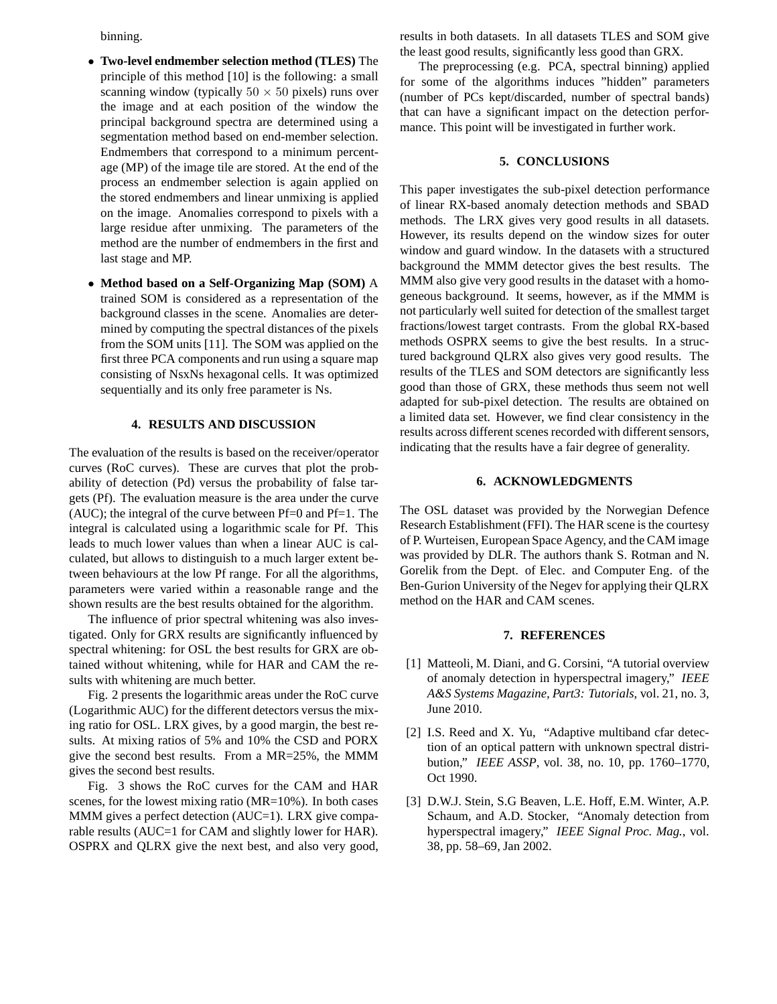binning.

- **Two-level endmember selection method (TLES)** The principle of this method [10] is the following: a small scanning window (typically  $50 \times 50$  pixels) runs over the image and at each position of the window the principal background spectra are determined using a segmentation method based on end-member selection. Endmembers that correspond to a minimum percentage (MP) of the image tile are stored. At the end of the process an endmember selection is again applied on the stored endmembers and linear unmixing is applied on the image. Anomalies correspond to pixels with a large residue after unmixing. The parameters of the method are the number of endmembers in the first and last stage and MP.
- **Method based on a Self-Organizing Map (SOM)** A trained SOM is considered as a representation of the background classes in the scene. Anomalies are determined by computing the spectral distances of the pixels from the SOM units [11]. The SOM was applied on the first three PCA components and run using a square map consisting of NsxNs hexagonal cells. It was optimized sequentially and its only free parameter is Ns.

### **4. RESULTS AND DISCUSSION**

The evaluation of the results is based on the receiver/operator curves (RoC curves). These are curves that plot the probability of detection (Pd) versus the probability of false targets (Pf). The evaluation measure is the area under the curve (AUC); the integral of the curve between  $Pf=0$  and  $Pf=1$ . The integral is calculated using a logarithmic scale for Pf. This leads to much lower values than when a linear AUC is calculated, but allows to distinguish to a much larger extent between behaviours at the low Pf range. For all the algorithms, parameters were varied within a reasonable range and the shown results are the best results obtained for the algorithm.

The influence of prior spectral whitening was also investigated. Only for GRX results are significantly influenced by spectral whitening: for OSL the best results for GRX are obtained without whitening, while for HAR and CAM the results with whitening are much better.

Fig. 2 presents the logarithmic areas under the RoC curve (Logarithmic AUC) for the different detectors versus the mixing ratio for OSL. LRX gives, by a good margin, the best results. At mixing ratios of 5% and 10% the CSD and PORX give the second best results. From a MR=25%, the MMM gives the second best results.

Fig. 3 shows the RoC curves for the CAM and HAR scenes, for the lowest mixing ratio (MR=10%). In both cases MMM gives a perfect detection (AUC=1). LRX give comparable results (AUC=1 for CAM and slightly lower for HAR). OSPRX and QLRX give the next best, and also very good, results in both datasets. In all datasets TLES and SOM give the least good results, significantly less good than GRX.

The preprocessing (e.g. PCA, spectral binning) applied for some of the algorithms induces "hidden" parameters (number of PCs kept/discarded, number of spectral bands) that can have a significant impact on the detection performance. This point will be investigated in further work.

## **5. CONCLUSIONS**

This paper investigates the sub-pixel detection performance of linear RX-based anomaly detection methods and SBAD methods. The LRX gives very good results in all datasets. However, its results depend on the window sizes for outer window and guard window. In the datasets with a structured background the MMM detector gives the best results. The MMM also give very good results in the dataset with a homogeneous background. It seems, however, as if the MMM is not particularly well suited for detection of the smallest target fractions/lowest target contrasts. From the global RX-based methods OSPRX seems to give the best results. In a structured background QLRX also gives very good results. The results of the TLES and SOM detectors are significantly less good than those of GRX, these methods thus seem not well adapted for sub-pixel detection. The results are obtained on a limited data set. However, we find clear consistency in the results across different scenes recorded with different sensors, indicating that the results have a fair degree of generality.

#### **6. ACKNOWLEDGMENTS**

The OSL dataset was provided by the Norwegian Defence Research Establishment (FFI). The HAR scene is the courtesy of P. Wurteisen, European Space Agency, and the CAM image was provided by DLR. The authors thank S. Rotman and N. Gorelik from the Dept. of Elec. and Computer Eng. of the Ben-Gurion University of the Negev for applying their QLRX method on the HAR and CAM scenes.

#### **7. REFERENCES**

- [1] Matteoli, M. Diani, and G. Corsini, "A tutorial overview of anomaly detection in hyperspectral imagery," *IEEE A&S Systems Magazine, Part3: Tutorials*, vol. 21, no. 3, June 2010.
- [2] I.S. Reed and X. Yu, "Adaptive multiband cfar detection of an optical pattern with unknown spectral distribution," *IEEE ASSP*, vol. 38, no. 10, pp. 1760–1770, Oct 1990.
- [3] D.W.J. Stein, S.G Beaven, L.E. Hoff, E.M. Winter, A.P. Schaum, and A.D. Stocker, "Anomaly detection from hyperspectral imagery," *IEEE Signal Proc. Mag.*, vol. 38, pp. 58–69, Jan 2002.